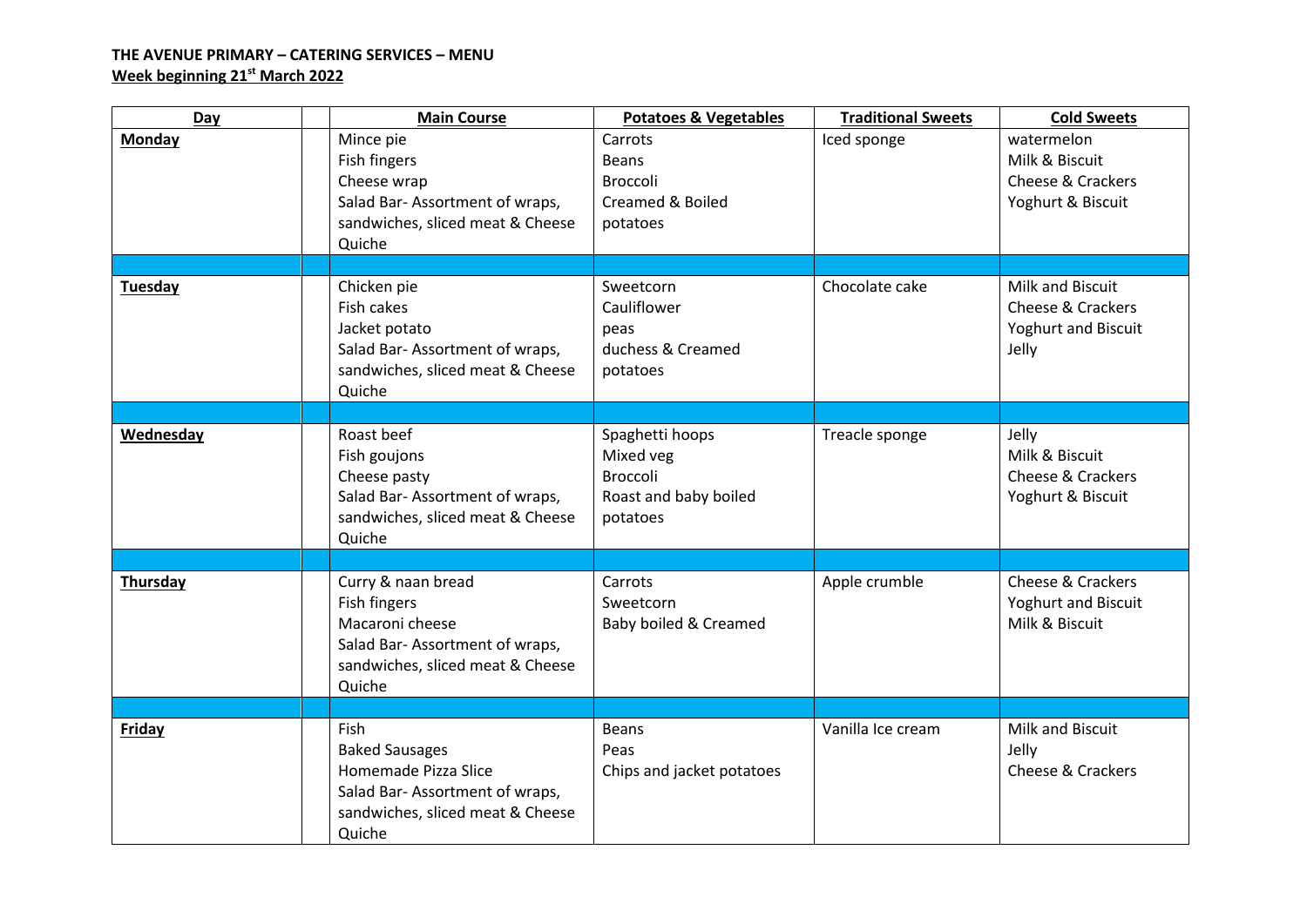## **THE AVENUE PRIMARY – CATERING SERVICES – MENU Week beginning 21 st March 2022**

| Day           | <b>Main Course</b>                                                                                                                    | <b>Potatoes &amp; Vegetables</b>                                                     | <b>Traditional Sweets</b> | <b>Cold Sweets</b>                                                                      |
|---------------|---------------------------------------------------------------------------------------------------------------------------------------|--------------------------------------------------------------------------------------|---------------------------|-----------------------------------------------------------------------------------------|
| <b>Monday</b> | Mince pie<br>Fish fingers<br>Cheese wrap<br>Salad Bar-Assortment of wraps,<br>sandwiches, sliced meat & Cheese<br>Quiche              | Carrots<br><b>Beans</b><br><b>Broccoli</b><br>Creamed & Boiled<br>potatoes           | Iced sponge               | watermelon<br>Milk & Biscuit<br>Cheese & Crackers<br>Yoghurt & Biscuit                  |
|               |                                                                                                                                       |                                                                                      |                           |                                                                                         |
| Tuesday       | Chicken pie<br>Fish cakes<br>Jacket potato<br>Salad Bar-Assortment of wraps,<br>sandwiches, sliced meat & Cheese<br>Quiche            | Sweetcorn<br>Cauliflower<br>peas<br>duchess & Creamed<br>potatoes                    | Chocolate cake            | Milk and Biscuit<br><b>Cheese &amp; Crackers</b><br><b>Yoghurt and Biscuit</b><br>Jelly |
|               |                                                                                                                                       |                                                                                      |                           |                                                                                         |
| Wednesday     | Roast beef<br>Fish goujons<br>Cheese pasty<br>Salad Bar-Assortment of wraps,<br>sandwiches, sliced meat & Cheese<br>Quiche            | Spaghetti hoops<br>Mixed veg<br><b>Broccoli</b><br>Roast and baby boiled<br>potatoes | Treacle sponge            | Jelly<br>Milk & Biscuit<br>Cheese & Crackers<br>Yoghurt & Biscuit                       |
|               |                                                                                                                                       |                                                                                      |                           |                                                                                         |
| Thursday      | Curry & naan bread<br>Fish fingers<br>Macaroni cheese<br>Salad Bar-Assortment of wraps,<br>sandwiches, sliced meat & Cheese<br>Quiche | Carrots<br>Sweetcorn<br>Baby boiled & Creamed                                        | Apple crumble             | Cheese & Crackers<br>Yoghurt and Biscuit<br>Milk & Biscuit                              |
|               |                                                                                                                                       |                                                                                      |                           |                                                                                         |
| <b>Friday</b> | Fish<br><b>Baked Sausages</b><br>Homemade Pizza Slice<br>Salad Bar-Assortment of wraps,<br>sandwiches, sliced meat & Cheese<br>Quiche | <b>Beans</b><br>Peas<br>Chips and jacket potatoes                                    | Vanilla Ice cream         | Milk and Biscuit<br>Jelly<br>Cheese & Crackers                                          |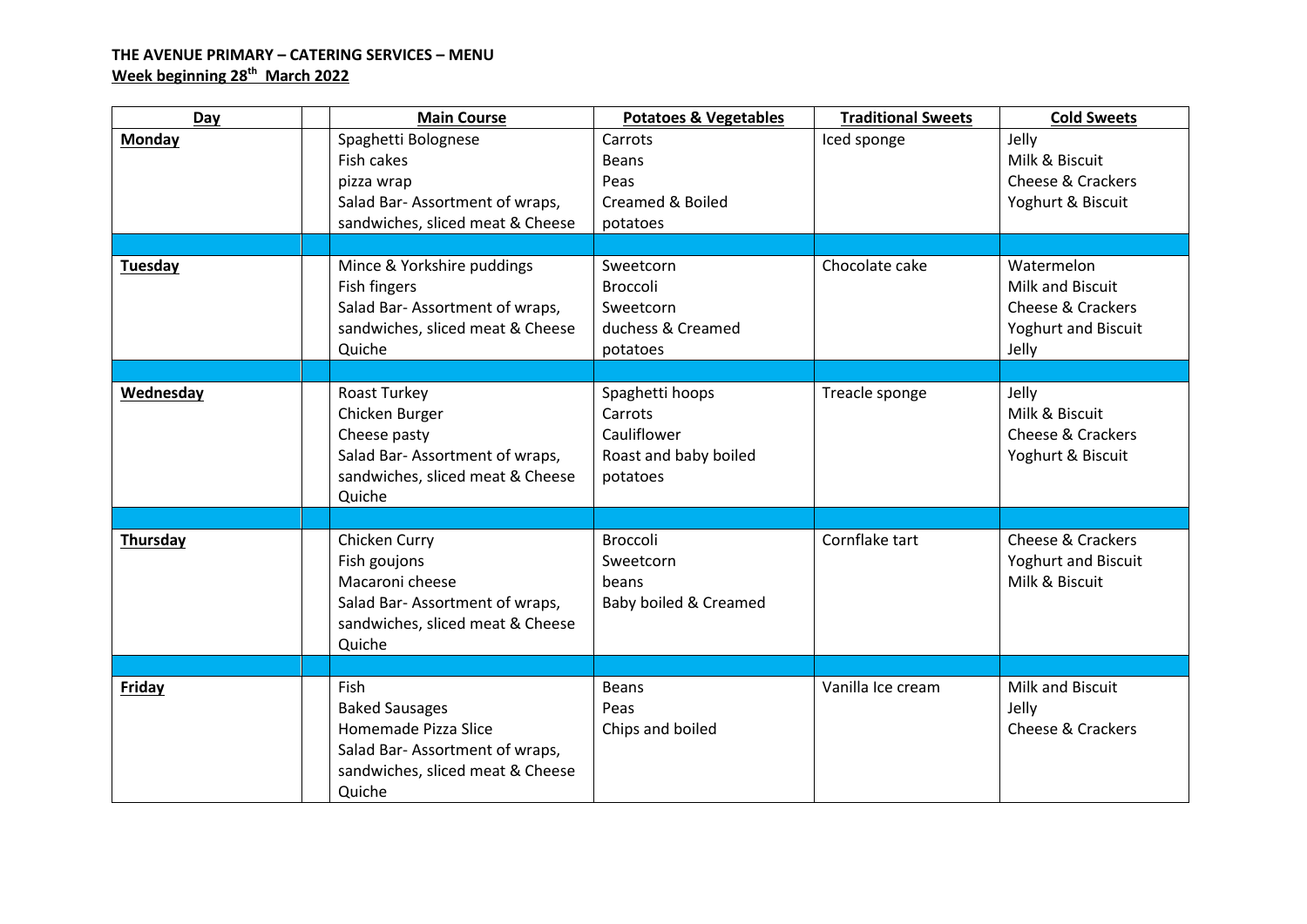## **THE AVENUE PRIMARY – CATERING SERVICES – MENU Week beginning 28th March 2022**

| Day            | <b>Main Course</b>                                                                                                                           | <b>Potatoes &amp; Vegetables</b>                                               | <b>Traditional Sweets</b> | <b>Cold Sweets</b>                                                                  |
|----------------|----------------------------------------------------------------------------------------------------------------------------------------------|--------------------------------------------------------------------------------|---------------------------|-------------------------------------------------------------------------------------|
| <b>Monday</b>  | Spaghetti Bolognese<br>Fish cakes<br>pizza wrap<br>Salad Bar-Assortment of wraps,<br>sandwiches, sliced meat & Cheese                        | Carrots<br><b>Beans</b><br>Peas<br>Creamed & Boiled<br>potatoes                | Iced sponge               | Jelly<br>Milk & Biscuit<br>Cheese & Crackers<br>Yoghurt & Biscuit                   |
|                |                                                                                                                                              |                                                                                |                           |                                                                                     |
| <b>Tuesday</b> | Mince & Yorkshire puddings<br>Fish fingers<br>Salad Bar-Assortment of wraps,<br>sandwiches, sliced meat & Cheese<br>Quiche                   | Sweetcorn<br><b>Broccoli</b><br>Sweetcorn<br>duchess & Creamed<br>potatoes     | Chocolate cake            | Watermelon<br>Milk and Biscuit<br>Cheese & Crackers<br>Yoghurt and Biscuit<br>Jelly |
|                |                                                                                                                                              |                                                                                |                           |                                                                                     |
| Wednesday      | Roast Turkey<br>Chicken Burger<br>Cheese pasty<br>Salad Bar-Assortment of wraps,<br>sandwiches, sliced meat & Cheese<br>Quiche               | Spaghetti hoops<br>Carrots<br>Cauliflower<br>Roast and baby boiled<br>potatoes | Treacle sponge            | Jelly<br>Milk & Biscuit<br>Cheese & Crackers<br>Yoghurt & Biscuit                   |
|                |                                                                                                                                              |                                                                                |                           |                                                                                     |
| Thursday       | Chicken Curry<br>Fish goujons<br>Macaroni cheese<br>Salad Bar-Assortment of wraps,<br>sandwiches, sliced meat & Cheese<br>Quiche             | Broccoli<br>Sweetcorn<br>beans<br>Baby boiled & Creamed                        | Cornflake tart            | Cheese & Crackers<br><b>Yoghurt and Biscuit</b><br>Milk & Biscuit                   |
|                |                                                                                                                                              |                                                                                |                           |                                                                                     |
| <b>Friday</b>  | <b>Fish</b><br><b>Baked Sausages</b><br>Homemade Pizza Slice<br>Salad Bar-Assortment of wraps,<br>sandwiches, sliced meat & Cheese<br>Quiche | <b>Beans</b><br>Peas<br>Chips and boiled                                       | Vanilla Ice cream         | Milk and Biscuit<br>Jelly<br>Cheese & Crackers                                      |